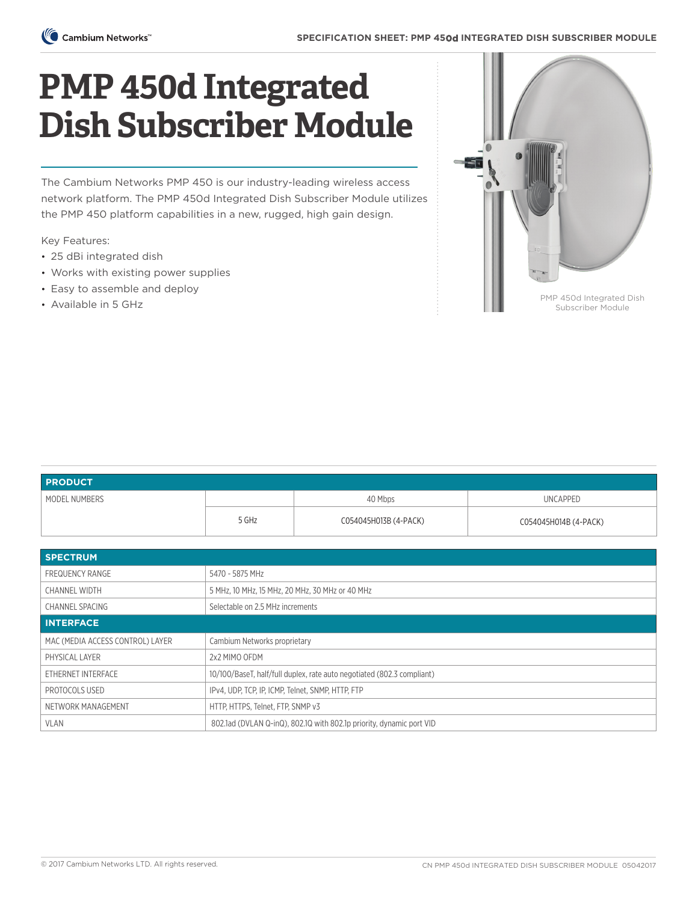

## **PMP 450d Integrated Dish Subscriber Module**

The Cambium Networks PMP 450 is our industry-leading wireless access network platform. The PMP 450d Integrated Dish Subscriber Module utilizes the PMP 450 platform capabilities in a new, rugged, high gain design.

Key Features:

- 25 dBi integrated dish
- Works with existing power supplies
- Easy to assemble and deploy
- Available in 5 GHz



| <b>PRODUCT</b>                   |                                                                        |                       |                       |  |
|----------------------------------|------------------------------------------------------------------------|-----------------------|-----------------------|--|
| MODEL NUMBERS                    |                                                                        | 40 Mbps               | <b>UNCAPPED</b>       |  |
|                                  | 5 GHz                                                                  | C054045H013B (4-PACK) | C054045H014B (4-PACK) |  |
|                                  |                                                                        |                       |                       |  |
| <b>SPECTRUM</b>                  |                                                                        |                       |                       |  |
| <b>FREQUENCY RANGE</b>           | 5470 - 5875 MHz                                                        |                       |                       |  |
| <b>CHANNEL WIDTH</b>             | 5 MHz, 10 MHz, 15 MHz, 20 MHz, 30 MHz or 40 MHz                        |                       |                       |  |
| <b>CHANNEL SPACING</b>           | Selectable on 2.5 MHz increments                                       |                       |                       |  |
| <b>INTERFACE</b>                 |                                                                        |                       |                       |  |
| MAC (MEDIA ACCESS CONTROL) LAYER | Cambium Networks proprietary                                           |                       |                       |  |
| PHYSICAL LAYER                   | 2x2 MIMO OFDM                                                          |                       |                       |  |
| ETHERNET INTERFACE               | 10/100/BaseT, half/full duplex, rate auto negotiated (802.3 compliant) |                       |                       |  |
| PROTOCOLS USED                   | IPv4, UDP, TCP, IP, ICMP, Telnet, SNMP, HTTP, FTP                      |                       |                       |  |
| NETWORK MANAGEMENT               | HTTP, HTTPS, Telnet, FTP, SNMP v3                                      |                       |                       |  |
| <b>VLAN</b>                      | 802.1ad (DVLAN Q-inQ), 802.1Q with 802.1p priority, dynamic port VID   |                       |                       |  |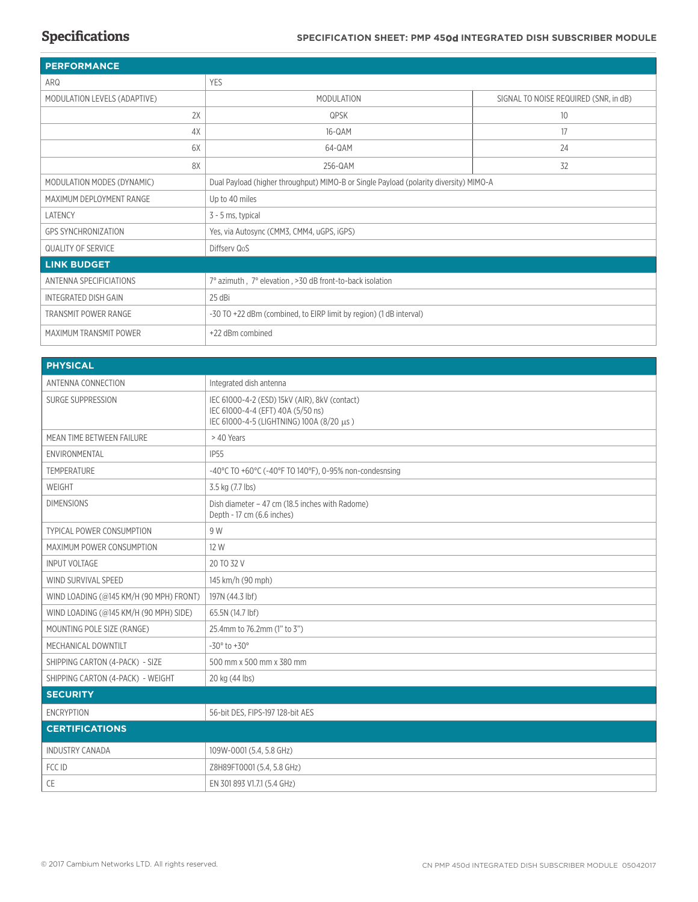| <b>PERFORMANCE</b>           |                                                                                       |                                       |  |  |
|------------------------------|---------------------------------------------------------------------------------------|---------------------------------------|--|--|
| ARQ                          | <b>YES</b>                                                                            |                                       |  |  |
| MODULATION LEVELS (ADAPTIVE) | MODULATION                                                                            | SIGNAL TO NOISE REQUIRED (SNR, in dB) |  |  |
| 2X                           | QPSK                                                                                  | 10                                    |  |  |
| 4X                           | 16-QAM                                                                                | 17                                    |  |  |
| 6X                           | 64-QAM                                                                                | 24                                    |  |  |
| 8X                           | 256-QAM                                                                               | 32                                    |  |  |
| MODULATION MODES (DYNAMIC)   | Dual Payload (higher throughput) MIMO-B or Single Payload (polarity diversity) MIMO-A |                                       |  |  |
| MAXIMUM DEPLOYMENT RANGE     | Up to 40 miles                                                                        |                                       |  |  |
| LATENCY                      | 3 - 5 ms, typical                                                                     |                                       |  |  |
| <b>GPS SYNCHRONIZATION</b>   | Yes, via Autosync (CMM3, CMM4, uGPS, iGPS)                                            |                                       |  |  |
| <b>QUALITY OF SERVICE</b>    | Diffserv QoS                                                                          |                                       |  |  |
| <b>LINK BUDGET</b>           |                                                                                       |                                       |  |  |
| ANTENNA SPECIFICIATIONS      | 7° azimuth, 7° elevation, >30 dB front-to-back isolation                              |                                       |  |  |
| INTEGRATED DISH GAIN         | 25 dBi                                                                                |                                       |  |  |
| <b>TRANSMIT POWER RANGE</b>  | -30 TO +22 dBm (combined, to EIRP limit by region) (1 dB interval)                    |                                       |  |  |
| MAXIMUM TRANSMIT POWER       | +22 dBm combined                                                                      |                                       |  |  |

| <b>PHYSICAL</b>                         |                                                                                                                                |  |  |
|-----------------------------------------|--------------------------------------------------------------------------------------------------------------------------------|--|--|
| ANTENNA CONNECTION                      | Integrated dish antenna                                                                                                        |  |  |
| <b>SURGE SUPPRESSION</b>                | IEC 61000-4-2 (ESD) 15kV (AIR), 8kV (contact)<br>IEC 61000-4-4 (EFT) 40A (5/50 ns)<br>IEC 61000-4-5 (LIGHTNING) 100Α (8/20 μs) |  |  |
| MEAN TIME BETWEEN FAILURE               | > 40 Years                                                                                                                     |  |  |
| ENVIRONMENTAL                           | <b>IP55</b>                                                                                                                    |  |  |
| <b>TEMPERATURE</b>                      | -40°C TO +60°C (-40°F TO 140°F), 0-95% non-condesnsing                                                                         |  |  |
| WEIGHT                                  | 3.5 kg (7.7 lbs)                                                                                                               |  |  |
| <b>DIMENSIONS</b>                       | Dish diameter - 47 cm (18.5 inches with Radome)<br>Depth - 17 cm (6.6 inches)                                                  |  |  |
| <b>TYPICAL POWER CONSUMPTION</b>        | 9 W                                                                                                                            |  |  |
| MAXIMUM POWER CONSUMPTION               | 12 W                                                                                                                           |  |  |
| <b>INPUT VOLTAGE</b>                    | 20 TO 32 V                                                                                                                     |  |  |
| WIND SURVIVAL SPEED                     | 145 km/h (90 mph)                                                                                                              |  |  |
| WIND LOADING (@145 KM/H (90 MPH) FRONT) | 197N (44.3 lbf)                                                                                                                |  |  |
| WIND LOADING (@145 KM/H (90 MPH) SIDE)  | 65.5N (14.7 lbf)                                                                                                               |  |  |
| MOUNTING POLE SIZE (RANGE)              | 25.4mm to 76.2mm (1" to 3")                                                                                                    |  |  |
| MECHANICAL DOWNTILT                     | $-30^{\circ}$ to $+30^{\circ}$                                                                                                 |  |  |
| SHIPPING CARTON (4-PACK) - SIZE         | 500 mm x 500 mm x 380 mm                                                                                                       |  |  |
| SHIPPING CARTON (4-PACK) - WEIGHT       | 20 kg (44 lbs)                                                                                                                 |  |  |
| <b>SECURITY</b>                         |                                                                                                                                |  |  |
| <b>ENCRYPTION</b>                       | 56-bit DES, FIPS-197 128-bit AES                                                                                               |  |  |
| <b>CERTIFICATIONS</b>                   |                                                                                                                                |  |  |
| <b>INDUSTRY CANADA</b>                  | 109W-0001 (5.4, 5.8 GHz)                                                                                                       |  |  |
| FCC ID                                  | Z8H89FT0001 (5.4, 5.8 GHz)                                                                                                     |  |  |
| CE                                      | EN 301 893 V1.7.1 (5.4 GHz)                                                                                                    |  |  |